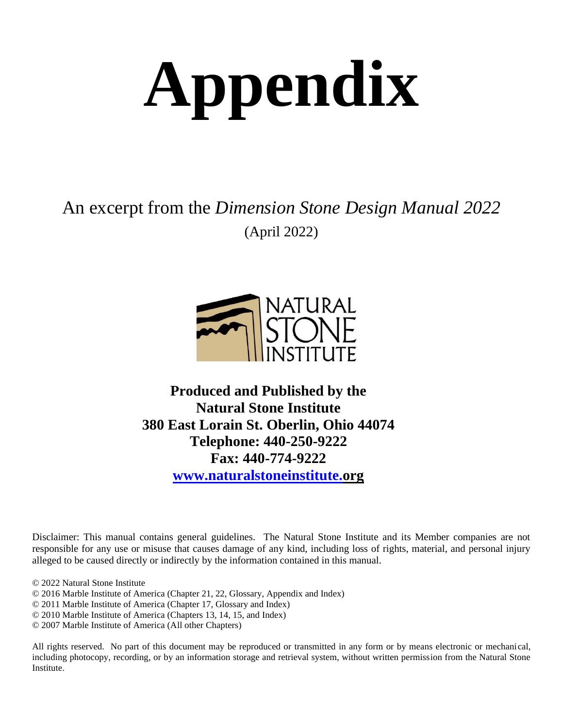# **Appendix**

An excerpt from the *Dimension Stone Design Manual 2022* (April 2022)



# **Produced and Published by the Natural Stone Institute 380 East Lorain St. Oberlin, Ohio 44074 Telephone: 440-250-9222 Fax: 440-774-9222 [www.naturalstoneinstitute.o](http://www.naturalstoneinstitute./)rg**

Disclaimer: This manual contains general guidelines. The Natural Stone Institute and its Member companies are not responsible for any use or misuse that causes damage of any kind, including loss of rights, material, and personal injury alleged to be caused directly or indirectly by the information contained in this manual.

© 2022 Natural Stone Institute

© 2016 Marble Institute of America (Chapter 21, 22, Glossary, Appendix and Index)

© 2011 Marble Institute of America (Chapter 17, Glossary and Index)

© 2010 Marble Institute of America (Chapters 13, 14, 15, and Index)

© 2007 Marble Institute of America (All other Chapters)

All rights reserved. No part of this document may be reproduced or transmitted in any form or by means electronic or mechanical, including photocopy, recording, or by an information storage and retrieval system, without written permission from the Natural Stone Institute.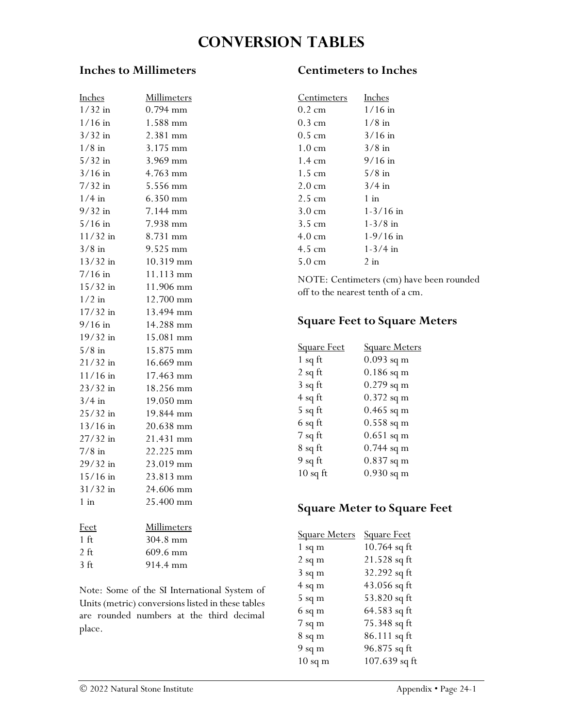# **Conversion tables**

### **Inches to Millimeters**

| Inches     | Millimeters |
|------------|-------------|
| $1/32$ in  | $0.794$ mm  |
| $1/16$ in  | 1.588 mm    |
| $3/32$ in  | 2.381 mm    |
| $1/8$ in   | 3.175 mm    |
| $5/32$ in  | 3.969 mm    |
| $3/16$ in  | 4.763 mm    |
| $7/32$ in  | 5.556 mm    |
| $1/4$ in   | 6.350 mm    |
| $9/32$ in  | 7.144 mm    |
| $5/16$ in  | 7.938 mm    |
| $11/32$ in | 8.731 mm    |
| $3/8$ in   | 9.525 mm    |
| $13/32$ in | 10.319 mm   |
| $7/16$ in  | 11.113 mm   |
| $15/32$ in | 11.906 mm   |
| $1/2$ in   | 12.700 mm   |
| 17/32 in   | 13.494 mm   |
| $9/16$ in  | 14.288 mm   |
| 19/32 in   | 15.081 mm   |
| $5/8$ in   | 15.875 mm   |
| $21/32$ in | 16.669 mm   |
| $11/16$ in | 17.463 mm   |
| 23/32 in   | 18.256 mm   |
| $3/4$ in   | 19.050 mm   |
| $25/32$ in | 19.844 mm   |
| 13/16 in   | 20.638 mm   |
| $27/32$ in | 21.431 mm   |
| $7/8$ in   | 22.225 mm   |
| 29/32 in   | 23.019 mm   |
| $15/16$ in | 23.813 mm   |
| $31/32$ in | 24.606 mm   |
| $1$ in     | 25.400 mm   |
| Feet       | Millimeters |

| reet             | мишинетен             |
|------------------|-----------------------|
| $1 \text{ ft}$   | $304.8 \text{ mm}$    |
| $2 \text{ ft}$   | $609.6 \,\mathrm{mm}$ |
| 3 <sub>f</sub> t | 914.4 mm              |
|                  |                       |

Note: Some of the SI International System of Units (metric) conversions listed in these tables are rounded numbers at the third decimal place.

# **Centimeters to Inches**

| <u>Centimeters</u> | Inches        |
|--------------------|---------------|
| 0.2 cm             | $1/16$ in     |
| 0.3 cm             | $1/8$ in      |
| 0.5 cm             | $3/16$ in     |
| $1.0 \text{ cm}$   | $3/8$ in      |
| $1.4 \text{ cm}$   | $9/16$ in     |
| $1.5 \text{ cm}$   | $5/8$ in      |
| $2.0 \text{ cm}$   | $3/4$ in      |
| 2.5 cm             | $1$ in        |
| $3.0 \text{ cm}$   | $1 - 3/16$ in |
| 3.5 cm             | $1 - 3/8$ in  |
| 4.0 cm             | $1-9/16$ in   |
| 4.5 cm             | $1 - 3/4$ in  |
| 5.0 cm             | 2 in          |
|                    |               |

NOTE: Centimeters (cm) have been rounded off to the nearest tenth of a cm.

# **Square Feet to Square Meters**

| <b>Square Feet</b> | <b>Square Meters</b> |
|--------------------|----------------------|
| $1$ sq ft          | $0.093$ sq m         |
| $2$ sq ft          | $0.186$ sq m         |
| $3$ sq ft          | $0.279$ sq m         |
| $4$ sq ft          | $0.372$ sq m         |
| 5 sq ft            | $0.465$ sq m         |
| 6 sq ft            | $0.558$ sq m         |
| $7$ sq ft          | $0.651$ sq m         |
| 8 sq ft            | $0.744$ sq m         |
| $9$ sq ft          | $0.837$ sq m         |
| $10$ sq ft         | $0.930$ sq m         |

# **Square Meter to Square Feet**

| <b>Square Meters</b> | <b>Square Feet</b> |
|----------------------|--------------------|
| $1$ sq m             | 10.764 sq ft       |
| $2$ sq m             | 21.528 sq ft       |
| $3 \text{ sq m}$     | 32.292 sq ft       |
| $4$ sq m             | 43.056 sq ft       |
| $5$ sq m             | 53.820 sq ft       |
| 6 sq m               | 64.583 sq ft       |
| $7$ sq m             | 75.348 sq ft       |
| $8 \text{ sq m}$     | 86.111 sq ft       |
| $9$ sq m             | 96.875 sq ft       |
| $10$ sq m            | 107.639 sq ft      |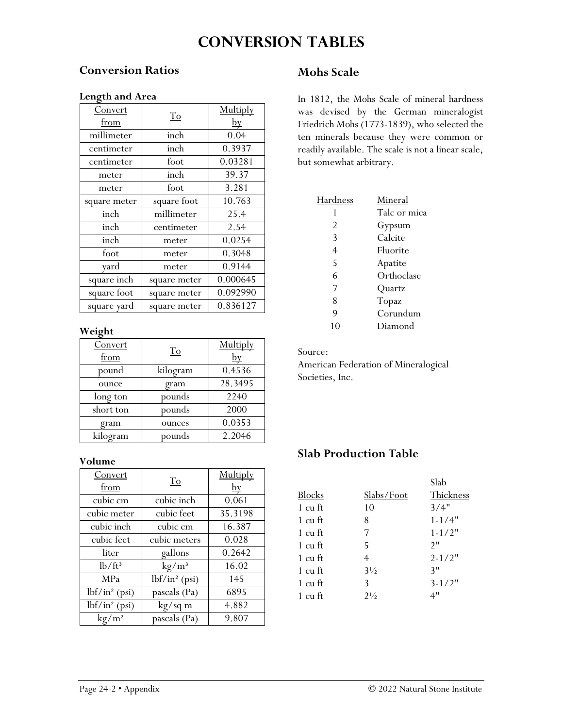# **Conversion tables**

## **Conversion Ratios**

#### **Length and Area**

| Convert      |              | Multiply       |
|--------------|--------------|----------------|
| from         | To           | $\frac{by}{ }$ |
| millimeter   | inch         | 0.04           |
| centimeter   | inch         | 0.3937         |
| centimeter   | foot         | 0.03281        |
| meter        | inch         | 39.37          |
| meter        | foot         | 3.281          |
| square meter | square foot  | 10.763         |
| inch         | millimeter   | 25.4           |
| inch         | centimeter   | 2.54           |
| inch         | meter        | 0.0254         |
| foot         | meter        | 0.3048         |
| yard         | meter        | 0.9144         |
| square inch  | square meter | 0.000645       |
| square foot  | square meter | 0.092990       |
| square yard  | square meter | 0.836127       |

#### **Weight**

| Convert<br>from | To       | Multiply<br><u>by</u> |
|-----------------|----------|-----------------------|
| pound           | kilogram | 0.4536                |
| ounce           | gram     | 28.3495               |
| long ton        | pounds   | 2240                  |
| short ton       | pounds   | 2000                  |
| gram            | ounces   | 0.0353                |
| kilogram        | pounds   | 2.2046                |

#### **Volume**

| Convert<br>from        | $\underline{\operatorname{To}}$ | Multiply<br>$\frac{by}{ }$ |
|------------------------|---------------------------------|----------------------------|
| cubic cm               | cubic inch                      | 0.061                      |
| cubic meter            | cubic feet                      | 35.3198                    |
| cubic inch             | cubic cm                        | 16.387                     |
| cubic feet             | cubic meters                    | 0.028                      |
| liter                  | gallons                         | 0.2642                     |
| $lb/ft^3$              | kg/m <sup>3</sup>               | 16.02                      |
| MPa                    | $lbf/in^2$ (psi)                | 145                        |
| $lbf/in^2$ (psi)       | pascals (Pa)                    | 6895                       |
| $lbf/in^2$ (psi)       | kg/sq m                         | 4.882                      |
| $\text{kg}/\text{m}^2$ | pascals (Pa)                    | 9.807                      |

# **Mohs Scale**

In 1812, the Mohs Scale of mineral hardness was devised by the German mineralogist Friedrich Mohs (1773-1839), who selected the ten minerals because they were common or readily available. The scale is not a linear scale, but somewhat arbitrary.

| Hardness | Mineral      |
|----------|--------------|
|          | Talc or mica |
| 2        | Gypsum       |
| 3        | Calcite      |
| 4        | Fluorite     |
| 5        | Apatite      |
| 6        | Orthoclase   |
| 7        | Quartz       |
| 8        | Topaz        |
| 9        | Corundum     |
| 10       | Diamond      |

Source:

American Federation of Mineralogical Societies, Inc.

# **Slab Production Table**

|         |                   | Slab       |
|---------|-------------------|------------|
| Blocks  | <u>Slabs/Foot</u> | Thickness  |
| 1 cu ft | 10                | 3/4"       |
| 1 cu ft | 8                 | $1 - 1/4"$ |
| 1 cu ft | 7                 | $1 - 1/2"$ |
| 1 cu ft | 5.                | 2"         |
| 1 cu ft | 4                 | $2 - 1/2"$ |
| 1 cu ft | $3\frac{1}{2}$    | 3"         |
| 1 cu ft | 3                 | $3 - 1/2"$ |
| 1 cu ft | $2\frac{1}{2}$    | 4"         |
|         |                   |            |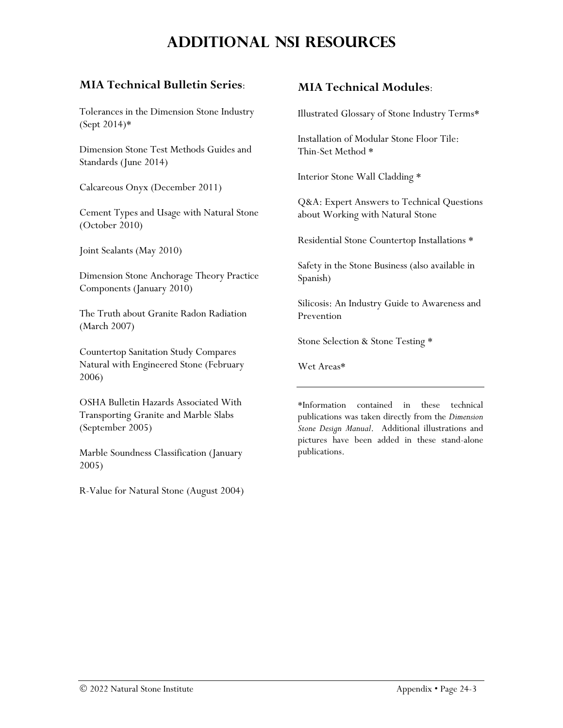# **Additional NSI resources**

# **MIA Technical Bulletin Series**:

Tolerances in the Dimension Stone Industry (Sept 2014)\*

Dimension Stone Test Methods Guides and Standards (June 2014)

Calcareous Onyx (December 2011)

Cement Types and Usage with Natural Stone (October 2010)

Joint Sealants (May 2010)

Dimension Stone Anchorage Theory Practice Components (January 2010)

The Truth about Granite Radon Radiation (March 2007)

Countertop Sanitation Study Compares Natural with Engineered Stone (February 2006)

OSHA Bulletin Hazards Associated With Transporting Granite and Marble Slabs (September 2005)

Marble Soundness Classification (January 2005)

R-Value for Natural Stone (August 2004)

# **MIA Technical Modules**:

Illustrated Glossary of Stone Industry Terms\*

Installation of Modular Stone Floor Tile: Thin-Set Method \*

Interior Stone Wall Cladding \*

Q&A: Expert Answers to Technical Questions about Working with Natural Stone

Residential Stone Countertop Installations \*

Safety in the Stone Business (also available in Spanish)

Silicosis: An Industry Guide to Awareness and Prevention

Stone Selection & Stone Testing \*

Wet Areas\*

\*Information contained in these technical publications was taken directly from the *Dimension Stone Design Manual*. Additional illustrations and pictures have been added in these stand-alone publications.